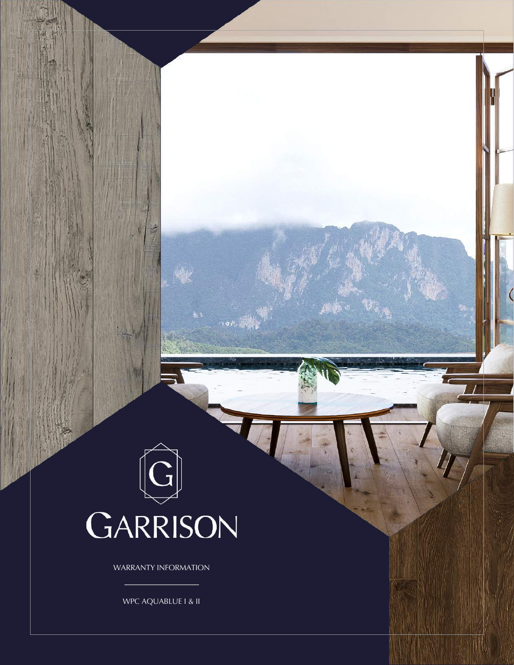## GARRISON

 $\mathbf{Q}(\theta) = \mathbf{Q}(\theta)$ 

WARRANTY INFORMATION

WPC AQUABLUE I & II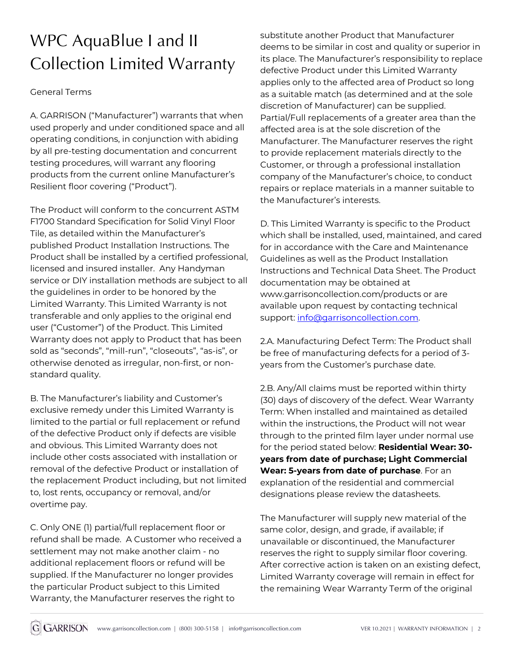## WPC AquaBlue I and II Collection Limited Warranty

## General Terms

A. GARRISON ("Manufacturer") warrants that when used properly and under conditioned space and all operating conditions, in conjunction with abiding by all pre-testing documentation and concurrent testing procedures, will warrant any flooring products from the current online Manufacturer's Resilient floor covering ("Product").

The Product will conform to the concurrent ASTM F1700 Standard Specification for Solid Vinyl Floor Tile, as detailed within the Manufacturer's published Product Installation Instructions. The Product shall be installed by a certified professional, licensed and insured installer. Any Handyman service or DIY installation methods are subject to all the guidelines in order to be honored by the Limited Warranty. This Limited Warranty is not transferable and only applies to the original end user ("Customer") of the Product. This Limited Warranty does not apply to Product that has been sold as "seconds", "mill-run", "closeouts", "as-is", or otherwise denoted as irregular, non-first, or nonstandard quality.

B. The Manufacturer's liability and Customer's exclusive remedy under this Limited Warranty is limited to the partial or full replacement or refund of the defective Product only if defects are visible and obvious. This Limited Warranty does not include other costs associated with installation or removal of the defective Product or installation of the replacement Product including, but not limited to, lost rents, occupancy or removal, and/or overtime pay.

C. Only ONE (1) partial/full replacement floor or refund shall be made. A Customer who received a settlement may not make another claim - no additional replacement floors or refund will be supplied. If the Manufacturer no longer provides the particular Product subject to this Limited Warranty, the Manufacturer reserves the right to

substitute another Product that Manufacturer deems to be similar in cost and quality or superior in its place. The Manufacturer's responsibility to replace defective Product under this Limited Warranty applies only to the affected area of Product so long as a suitable match (as determined and at the sole discretion of Manufacturer) can be supplied. Partial/Full replacements of a greater area than the affected area is at the sole discretion of the Manufacturer. The Manufacturer reserves the right to provide replacement materials directly to the Customer, or through a professional installation company of the Manufacturer's choice, to conduct repairs or replace materials in a manner suitable to the Manufacturer's interests.

D. This Limited Warranty is specific to the Product which shall be installed, used, maintained, and cared for in accordance with the Care and Maintenance Guidelines as well as the Product Installation Instructions and Technical Data Sheet. The Product documentation may be obtained at www.garrisoncollection.com/products or are available upon request by contacting technical support: info@garrisoncollection.com.

2.A. Manufacturing Defect Term: The Product shall be free of manufacturing defects for a period of 3 years from the Customer's purchase date.

2.B. Any/All claims must be reported within thirty (30) days of discovery of the defect. Wear Warranty Term: When installed and maintained as detailed within the instructions, the Product will not wear through to the printed film layer under normal use for the period stated below: **Residential Wear: 30 years from date of purchase; Light Commercial Wear: 5-years from date of purchase**. For an explanation of the residential and commercial designations please review the datasheets.

The Manufacturer will supply new material of the same color, design, and grade, if available; if unavailable or discontinued, the Manufacturer reserves the right to supply similar floor covering. After corrective action is taken on an existing defect, Limited Warranty coverage will remain in effect for the remaining Wear Warranty Term of the original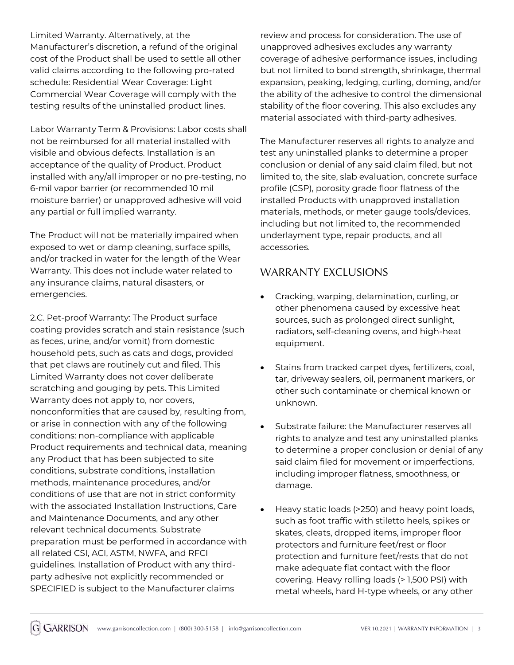Limited Warranty. Alternatively, at the Manufacturer's discretion, a refund of the original cost of the Product shall be used to settle all other valid claims according to the following pro-rated schedule: Residential Wear Coverage: Light Commercial Wear Coverage will comply with the testing results of the uninstalled product lines.

Labor Warranty Term & Provisions: Labor costs shall not be reimbursed for all material installed with visible and obvious defects. Installation is an acceptance of the quality of Product. Product installed with any/all improper or no pre-testing, no 6-mil vapor barrier (or recommended 10 mil moisture barrier) or unapproved adhesive will void any partial or full implied warranty.

The Product will not be materially impaired when exposed to wet or damp cleaning, surface spills, and/or tracked in water for the length of the Wear Warranty. This does not include water related to any insurance claims, natural disasters, or emergencies.

2.C. Pet-proof Warranty: The Product surface coating provides scratch and stain resistance (such as feces, urine, and/or vomit) from domestic household pets, such as cats and dogs, provided that pet claws are routinely cut and filed. This Limited Warranty does not cover deliberate scratching and gouging by pets. This Limited Warranty does not apply to, nor covers, nonconformities that are caused by, resulting from, or arise in connection with any of the following conditions: non-compliance with applicable Product requirements and technical data, meaning any Product that has been subjected to site conditions, substrate conditions, installation methods, maintenance procedures, and/or conditions of use that are not in strict conformity with the associated Installation Instructions, Care and Maintenance Documents, and any other relevant technical documents. Substrate preparation must be performed in accordance with all related CSI, ACI, ASTM, NWFA, and RFCI guidelines. Installation of Product with any thirdparty adhesive not explicitly recommended or SPECIFIED is subject to the Manufacturer claims

review and process for consideration. The use of unapproved adhesives excludes any warranty coverage of adhesive performance issues, including but not limited to bond strength, shrinkage, thermal expansion, peaking, ledging, curling, doming, and/or the ability of the adhesive to control the dimensional stability of the floor covering. This also excludes any material associated with third-party adhesives.

The Manufacturer reserves all rights to analyze and test any uninstalled planks to determine a proper conclusion or denial of any said claim filed, but not limited to, the site, slab evaluation, concrete surface profile (CSP), porosity grade floor flatness of the installed Products with unapproved installation materials, methods, or meter gauge tools/devices, including but not limited to, the recommended underlayment type, repair products, and all accessories.

## WARRANTY EXCLUSIONS

- Cracking, warping, delamination, curling, or other phenomena caused by excessive heat sources, such as prolonged direct sunlight, radiators, self-cleaning ovens, and high-heat equipment.
- Stains from tracked carpet dyes, fertilizers, coal, tar, driveway sealers, oil, permanent markers, or other such contaminate or chemical known or unknown.
- Substrate failure: the Manufacturer reserves all rights to analyze and test any uninstalled planks to determine a proper conclusion or denial of any said claim filed for movement or imperfections, including improper flatness, smoothness, or damage.
- Heavy static loads (>250) and heavy point loads, such as foot traffic with stiletto heels, spikes or skates, cleats, dropped items, improper floor protectors and furniture feet/rest or floor protection and furniture feet/rests that do not make adequate flat contact with the floor covering. Heavy rolling loads (> 1,500 PSI) with metal wheels, hard H-type wheels, or any other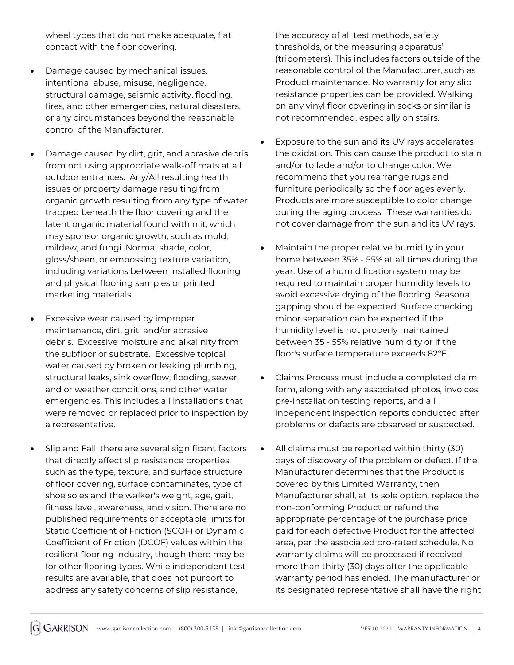wheel types that do not make adequate, flat contact with the floor covering.

- Damage caused by mechanical issues, intentional abuse, misuse, negligence, structural damage, seismic activity, flooding, fires, and other emergencies, natural disasters, or any circumstances beyond the reasonable control of the Manufacturer.
- Damage caused by dirt, grit, and abrasive debris from not using appropriate walk-off mats at all outdoor entrances. Any/All resulting health issues or property damage resulting from organic growth resulting from any type of water trapped beneath the floor covering and the latent organic material found within it, which may sponsor organic growth, such as mold, mildew, and fungi. Normal shade, color, gloss/sheen, or embossing texture variation, including variations between installed flooring and physical flooring samples or printed marketing materials.
- Excessive wear caused by improper maintenance, dirt, grit, and/or abrasive debris. Excessive moisture and alkalinity from the subfloor or substrate. Excessive topical water caused by broken or leaking plumbing, structural leaks, sink overflow, flooding, sewer, and or weather conditions, and other water emergencies. This includes all installations that were removed or replaced prior to inspection by a representative.
- Slip and Fall: there are several significant factors that directly affect slip resistance properties, such as the type, texture, and surface structure of floor covering, surface contaminates, type of shoe soles and the walker's weight, age, gait, fitness level, awareness, and vision. There are no published requirements or acceptable limits for Static Coefficient of Friction (SCOF) or Dynamic Coefficient of Friction (DCOF) values within the resilient flooring industry, though there may be for other flooring types. While independent test results are available, that does not purport to address any safety concerns of slip resistance,

the accuracy of all test methods, safety thresholds, or the measuring apparatus' (tribometers). This includes factors outside of the reasonable control of the Manufacturer, such as Product maintenance. No warranty for any slip resistance properties can be provided. Walking on any vinyl floor covering in socks or similar is not recommended, especially on stairs.

- Exposure to the sun and its UV rays accelerates the oxidation. This can cause the product to stain and/or to fade and/or to change color. We recommend that you rearrange rugs and furniture periodically so the floor ages evenly. Products are more susceptible to color change during the aging process. These warranties do not cover damage from the sun and its UV rays.
- Maintain the proper relative humidity in your home between 35% - 55% at all times during the year. Use of a humidification system may be required to maintain proper humidity levels to avoid excessive drying of the flooring. Seasonal gapping should be expected. Surface checking minor separation can be expected if the humidity level is not properly maintained between 35 - 55% relative humidity or if the floor's surface temperature exceeds 82°F.
- Claims Process must include a completed claim form, along with any associated photos, invoices, pre-installation testing reports, and all independent inspection reports conducted after problems or defects are observed or suspected.
- All claims must be reported within thirty (30) days of discovery of the problem or defect. If the Manufacturer determines that the Product is covered by this Limited Warranty, then Manufacturer shall, at its sole option, replace the non-conforming Product or refund the appropriate percentage of the purchase price paid for each defective Product for the affected area, per the associated pro-rated schedule. No warranty claims will be processed if received more than thirty (30) days after the applicable warranty period has ended. The manufacturer or its designated representative shall have the right